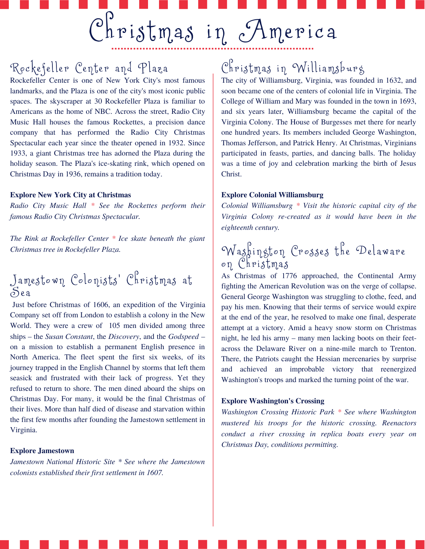## Rockefeller Center and Plaza

Rockefeller Center is one of New York City's most famous landmarks, and the Plaza is one of the city's most iconic public spaces. The skyscraper at 30 Rockefeller Plaza is familiar to Americans as the home of NBC. Across the street, Radio City Music Hall houses the famous Rockettes, a precision dance company that has performed the Radio City Christmas Spectacular each year since the theater opened in 1932. Since 1933, a giant Christmas tree has adorned the Plaza during the holiday season. The Plaza's ice-skating rink, which opened on Christmas Day in 1936, remains a tradition today.

### **Explore New York City at Christmas**

*Radio City Music Hall \* See the Rockettes perform their famous Radio City Christmas Spectacular.*

*The Rink at Rockefeller Center \* Ice skate beneath the giant Christmas tree in Rockefeller Plaza.*

### Jamestown Colonists' Christmas at  $S<sub>ea</sub>$

Just before Christmas of 1606, an expedition of the Virginia Company set off from London to establish a colony in the New World. They were a crew of 105 men divided among three ships – the *Susan Constant*, the *Discovery*, and the *Godspeed* – on a mission to establish a permanent English presence in North America. The fleet spent the first six weeks, of its journey trapped in the English Channel by storms that left them seasick and frustrated with their lack of progress. Yet they refused to return to shore. The men dined aboard the ships on Christmas Day. For many, it would be the final Christmas of their lives. More than half died of disease and starvation within the first few months after founding the Jamestown settlement in Virginia.

### **Explore Jamestown**

*Jamestown National Historic Site \* See where the Jamestown colonists established their first settlement in 1607.*

## $Christmas$  in Williamsburg

The city of Williamsburg, Virginia, was founded in 1632, and soon became one of the centers of colonial life in Virginia. The College of William and Mary was founded in the town in 1693, and six years later, Williamsburg became the capital of the Virginia Colony. The House of Burgesses met there for nearly one hundred years. Its members included George Washington, Thomas Jefferson, and Patrick Henry. At Christmas, Virginians participated in feasts, parties, and dancing balls. The holiday was a time of joy and celebration marking the birth of Jesus Christ.

### **Explore Colonial Williamsburg**

*Colonial Williamsburg \* Visit the historic capital city of the Virginia Colony re-created as it would have been in the eighteenth century.*

### Washington Crosses the Delaware on Christmas

As Christmas of 1776 approached, the Continental Army fighting the American Revolution was on the verge of collapse. General George Washington was struggling to clothe, feed, and pay his men. Knowing that their terms of service would expire at the end of the year, he resolved to make one final, desperate attempt at a victory. Amid a heavy snow storm on Christmas night, he led his army – many men lacking boots on their feetacross the Delaware River on a nine-mile march to Trenton. There, the Patriots caught the Hessian mercenaries by surprise and achieved an improbable victory that reenergized Washington's troops and marked the turning point of the war.

### **Explore Washington's Crossing**

*Washington Crossing Historic Park \* See where Washington mustered his troops for the historic crossing. Reenactors conduct a river crossing in replica boats every year on Christmas Day, conditions permitting.*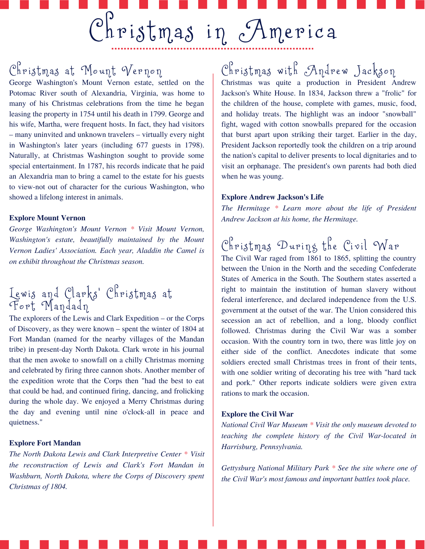## Christmas at Mount Vernon

George Washington's Mount Vernon estate, settled on the Potomac River south of Alexandria, Virginia, was home to many of his Christmas celebrations from the time he began leasing the property in 1754 until his death in 1799. George and his wife, Martha, were frequent hosts. In fact, they had visitors – many uninvited and unknown travelers – virtually every night in Washington's later years (including 677 guests in 1798). Naturally, at Christmas Washington sought to provide some special entertainment. In 1787, his records indicate that he paid an Alexandria man to bring a camel to the estate for his guests to view-not out of character for the curious Washington, who showed a lifelong interest in animals.

### **Explore Mount Vernon**

*George Washington's Mount Vernon \* Visit Mount Vernon, Washington's estate, beautifully maintained by the Mount Vernon Ladies' Association. Each year, Aladdin the Camel is on exhibit throughout the Christmas season.*

### Lewis and Clarks' Christmas at 'r ort 'Mandadn

The explorers of the Lewis and Clark Expedition – or the Corps of Discovery, as they were known – spent the winter of 1804 at Fort Mandan (named for the nearby villages of the Mandan tribe) in present-day North Dakota. Clark wrote in his journal that the men awoke to snowfall on a chilly Christmas morning and celebrated by firing three cannon shots. Another member of the expedition wrote that the Corps then "had the best to eat that could be had, and continued firing, dancing, and frolicking during the whole day. We enjoyed a Merry Christmas during the day and evening until nine o'clock-all in peace and quietness."

### **Explore Fort Mandan**

*The North Dakota Lewis and Clark Interpretive Center \* Visit the reconstruction of Lewis and Clark's Fort Mandan in Washburn, North Dakota, where the Corps of Discovery spent Christmas of 1804.*

# Christmas with Andrew Jackson

Christmas was quite a production in President Andrew Jackson's White House. In 1834, Jackson threw a "frolic" for the children of the house, complete with games, music, food, and holiday treats. The highlight was an indoor "snowball" fight, waged with cotton snowballs prepared for the occasion that burst apart upon striking their target. Earlier in the day, President Jackson reportedly took the children on a trip around the nation's capital to deliver presents to local dignitaries and to visit an orphanage. The president's own parents had both died when he was young.

#### **Explore Andrew Jackson's Life**

*The Hermitage \* Learn more about the life of President Andrew Jackson at his home, the Hermitage.*

# $C^P$ hristmas During the Civil War

The Civil War raged from 1861 to 1865, splitting the country between the Union in the North and the seceding Confederate States of America in the South. The Southern states asserted a right to maintain the institution of human slavery without federal interference, and declared independence from the U.S. government at the outset of the war. The Union considered this secession an act of rebellion, and a long, bloody conflict followed. Christmas during the Civil War was a somber occasion. With the country torn in two, there was little joy on either side of the conflict. Anecdotes indicate that some soldiers erected small Christmas trees in front of their tents, with one soldier writing of decorating his tree with "hard tack and pork." Other reports indicate soldiers were given extra rations to mark the occasion.

### **Explore the Civil War**

*National Civil War Museum \* Visit the only museum devoted to teaching the complete history of the Civil War-located in Harrisburg, Pennsylvania.*

*Gettysburg National Military Park \* See the site where one of the Civil War's most famous and important battles took place.*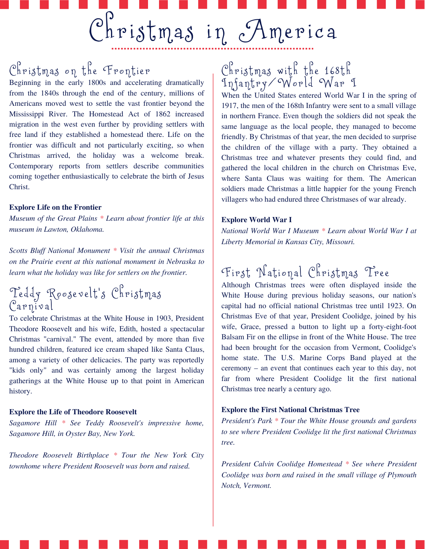# Christmas on the Frontier

Beginning in the early 1800s and accelerating dramatically from the 1840s through the end of the century, millions of Americans moved west to settle the vast frontier beyond the Mississippi River. The Homestead Act of 1862 increased migration in the west even further by providing settlers with free land if they established a homestead there. Life on the frontier was difficult and not particularly exciting, so when Christmas arrived, the holiday was a welcome break. Contemporary reports from settlers describe communities coming together enthusiastically to celebrate the birth of Jesus Christ.

### **Explore Life on the Frontier**

*Museum of the Great Plains \* Learn about frontier life at this museum in Lawton, Oklahoma.*

*Scotts Bluf National Monument \* Visit the annual Christmas on the Prairie event at this national monument in Nebraska to learn what the holiday was like for settlers on the frontier.*

### Teddy Roosevelt's Christmas  $C$ arnival

To celebrate Christmas at the White House in 1903, President Theodore Roosevelt and his wife, Edith, hosted a spectacular Christmas "carnival." The event, attended by more than five hundred children, featured ice cream shaped like Santa Claus, among a variety of other delicacies. The party was reportedly "kids only" and was certainly among the largest holiday gatherings at the White House up to that point in American history.

### **Explore the Life of Theodore Roosevelt**

*Sagamore Hill \* See Teddy Roosevelt's impressive home, Sagamore Hill, in Oyster Bay, New York.*

*Theodore Roosevelt Birthplace \* Tour the New York City townhome where President Roosevelt was born and raised.*

### $C^{\beta}$ ristmas with the 168th  $\widetilde{\mathbb{I}}$ nfantry/World War 1

When the United States entered World War I in the spring of 1917, the men of the 168th Infantry were sent to a small village in northern France. Even though the soldiers did not speak the same language as the local people, they managed to become friendly. By Christmas of that year, the men decided to surprise the children of the village with a party. They obtained a Christmas tree and whatever presents they could find, and gathered the local children in the church on Christmas Eve, where Santa Claus was waiting for them. The American soldiers made Christmas a little happier for the young French villagers who had endured three Christmases of war already.

#### **Explore World War I**

*National World War I Museum \* Learn about World War I at Liberty Memorial in Kansas City, Missouri.*

# First National Christmas Tree

Although Christmas trees were often displayed inside the White House during previous holiday seasons, our nation's capital had no official national Christmas tree until 1923. On Christmas Eve of that year, President Coolidge, joined by his wife, Grace, pressed a button to light up a forty-eight-foot Balsam Fir on the ellipse in front of the White House. The tree had been brought for the occasion from Vermont, Coolidge's home state. The U.S. Marine Corps Band played at the ceremony – an event that continues each year to this day, not far from where President Coolidge lit the first national Christmas tree nearly a century ago.

### **Explore the First National Christmas Tree**

*President's Park \* Tour the White House grounds and gardens to see where President Coolidge lit the first national Christmas tree.*

*President Calvin Coolidge Homestead \* See where President Coolidge was born and raised in the small village of Plymouth Notch, Vermont.*